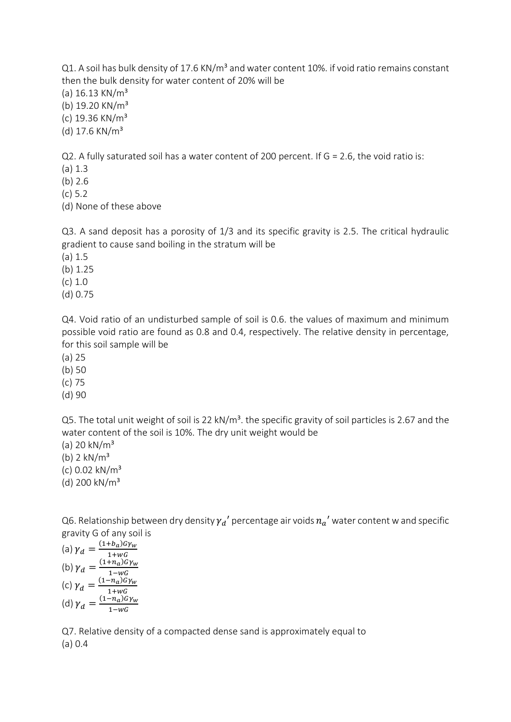Q1. A soil has bulk density of 17.6 KN/m<sup>3</sup> and water content 10%. if void ratio remains constant then the bulk density for water content of 20% will be

 $(a)$  16.13 KN/m<sup>3</sup>

(b) 19.20 KN/m<sup>3</sup>

 $(c)$  19.36 KN/m<sup>3</sup>

(d)  $17.6$  KN/m<sup>3</sup>

Q2. A fully saturated soil has a water content of 200 percent. If G = 2.6, the void ratio is:

(a) 1.3

(b) 2.6

(c) 5.2

(d) None of these above

Q3. A sand deposit has a porosity of 1/3 and its specific gravity is 2.5. The critical hydraulic gradient to cause sand boiling in the stratum will be

(a) 1.5

(b) 1.25

(c) 1.0

(d) 0.75

Q4. Void ratio of an undisturbed sample of soil is 0.6. the values of maximum and minimum possible void ratio are found as 0.8 and 0.4, respectively. The relative density in percentage, for this soil sample will be

- (a) 25
- (b) 50

(c) 75

(d) 90

Q5. The total unit weight of soil is 22 kN/m<sup>3</sup>, the specific gravity of soil particles is 2.67 and the water content of the soil is 10%. The dry unit weight would be

(a)  $20 \text{ kN/m}^3$ 

(b)  $2 \text{ kN/m}^3$ 

(c) 0.02 kN/m³

(d) 200  $kN/m^3$ 

Q6. Relationship between dry density  $\gamma_d'$  percentage air voids  $n_a'$  water content w and specific gravity G of any soil is

(a) 
$$
\gamma_d = \frac{(1+b_a)G\gamma_w}{1+wG}
$$
  
\n(b)  $\gamma_d = \frac{(1+n_a)G\gamma_w}{1-wG}$   
\n(c)  $\gamma_d = \frac{(1-n_a)G\gamma_w}{1+wG}$   
\n(d)  $\gamma_d = \frac{(1-n_a)G\gamma_w}{1-wG}$ 

Q7. Relative density of a compacted dense sand is approximately equal to (a) 0.4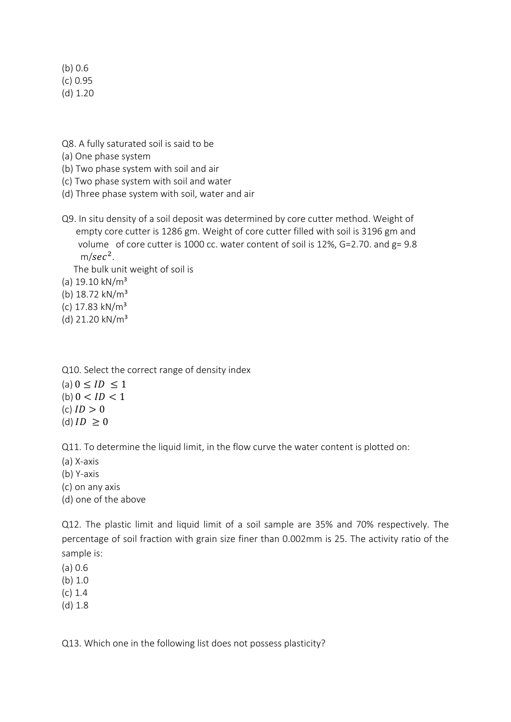(b) 0.6

(c) 0.95

- (d) 1.20
- Q8. A fully saturated soil is said to be
- (a) One phase system
- (b) Two phase system with soil and air
- (c) Two phase system with soil and water
- (d) Three phase system with soil, water and air
- Q9. In situ density of a soil deposit was determined by core cutter method. Weight of empty core cutter is 1286 gm. Weight of core cutter filled with soil is 3196 gm and volume of core cutter is 1000 cc. water content of soil is 12%, G=2.70. and g= 9.8 m/se $c^2$ .

The bulk unit weight of soil is

(a)  $19.10 \text{ kN/m}^3$ 

- (b)  $18.72 \text{ kN/m}^3$
- (c) 17.83 kN/m³
- (d)  $21.20 \text{ kN/m}^3$

Q10. Select the correct range of density index (a)  $0 \leq ID \leq 1$ (b)  $0 < ID < 1$  $(c)$   $ID > 0$ (d)  $ID \geq 0$ 

Q11. To determine the liquid limit, in the flow curve the water content is plotted on:

(a) X-axis

(b) Y-axis

(c) on any axis

(d) one of the above

Q12. The plastic limit and liquid limit of a soil sample are 35% and 70% respectively. The percentage of soil fraction with grain size finer than 0.002mm is 25. The activity ratio of the sample is:

- (a) 0.6
- (b) 1.0
- (c) 1.4
- (d) 1.8

Q13. Which one in the following list does not possess plasticity?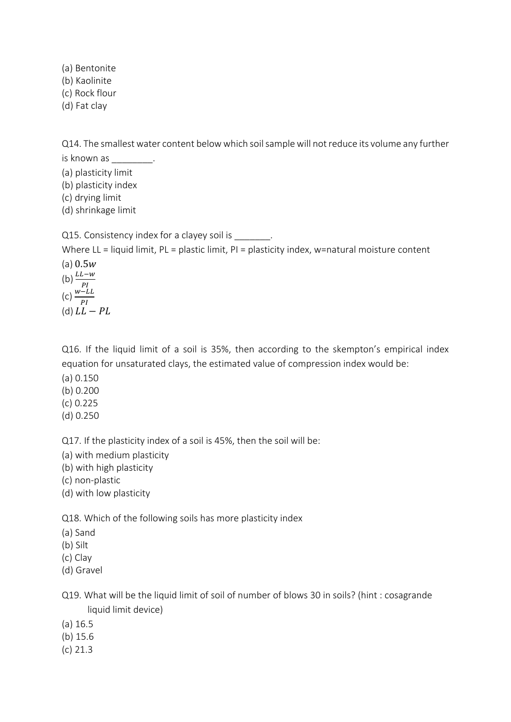(a) Bentonite (b) Kaolinite (c) Rock flour (d) Fat clay

Q14. The smallest water content below which soil sample will not reduce its volume any further is known as  $\qquad \qquad$ .

(a) plasticity limit

(b) plasticity index

(c) drying limit

(d) shrinkage limit

Q15. Consistency index for a clayey soil is  $\qquad \qquad$ .

Where LL = liquid limit,  $PL =$  plastic limit,  $PI =$  plasticity index, w=natural moisture content

(a)  $0.5w$ (b)  $\frac{LL - w}{PI}$ <br>(c)  $\frac{w - LL}{PI}$ (d)  $LL - PL$ 

Q16. If the liquid limit of a soil is 35%, then according to the skempton's empirical index equation for unsaturated clays, the estimated value of compression index would be:

- (a) 0.150
- (b) 0.200
- (c) 0.225

(d) 0.250

Q17. If the plasticity index of a soil is 45%, then the soil will be:

(a) with medium plasticity

(b) with high plasticity

(c) non-plastic

(d) with low plasticity

Q18. Which of the following soils has more plasticity index

- (a) Sand
- (b) Silt
- (c) Clay
- (d) Gravel

Q19. What will be the liquid limit of soil of number of blows 30 in soils? (hint : cosagrande liquid limit device)

- (a) 16.5
- (b) 15.6
- (c) 21.3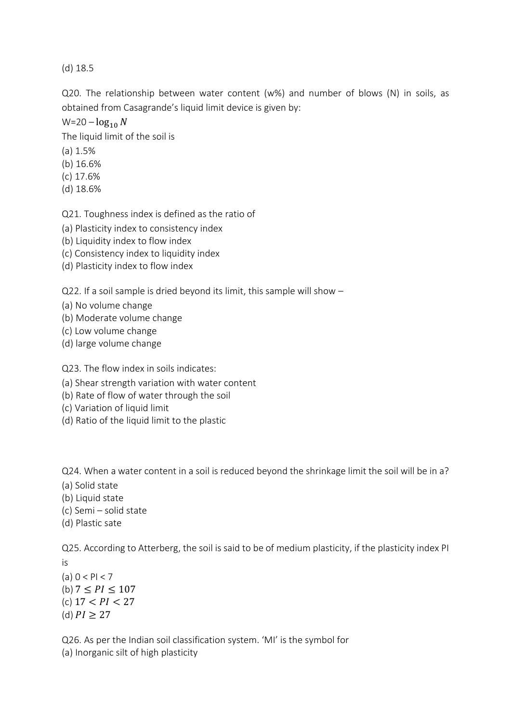(d) 18.5

Q20. The relationship between water content (w%) and number of blows (N) in soils, as obtained from Casagrande's liquid limit device is given by:

 $W=20 - log_{10} N$ 

The liquid limit of the soil is

- (a) 1.5%
- (b) 16.6%
- (c) 17.6%
- (d) 18.6%

Q21. Toughness index is defined as the ratio of

- (a) Plasticity index to consistency index
- (b) Liquidity index to flow index
- (c) Consistency index to liquidity index
- (d) Plasticity index to flow index

Q22. If a soil sample is dried beyond its limit, this sample will show –

- (a) No volume change
- (b) Moderate volume change
- (c) Low volume change
- (d) large volume change

Q23. The flow index in soils indicates:

- (a) Shear strength variation with water content
- (b) Rate of flow of water through the soil
- (c) Variation of liquid limit
- (d) Ratio of the liquid limit to the plastic

Q24. When a water content in a soil is reduced beyond the shrinkage limit the soil will be in a?

- (a) Solid state
- (b) Liquid state
- (c) Semi solid state
- (d) Plastic sate

Q25. According to Atterberg, the soil is said to be of medium plasticity, if the plasticity index PI is

(a)  $0 < PI < 7$ (b)  $7 < PI < 107$ (c)  $17 < PI < 27$ (d)  $PI \geq 27$ 

Q26. As per the Indian soil classification system. 'MI' is the symbol for (a) Inorganic silt of high plasticity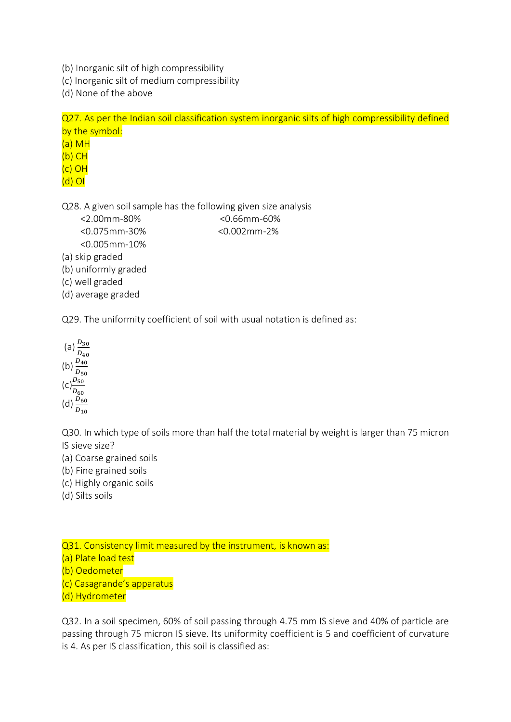- (b) Inorganic silt of high compressibility
- (c) Inorganic silt of medium compressibility

(d) None of the above

Q27. As per the Indian soil classification system inorganic silts of high compressibility defined by the symbol: (a) MH (b) CH (c) OH (d) OI

Q28. A given soil sample has the following given size analysis

| <2.00mm-80%          | $<$ 0.66mm-60%  |
|----------------------|-----------------|
| $< 0.075$ mm-30%     | $< 0.002$ mm-2% |
| $< 0.005$ mm-10%     |                 |
| (a) skip graded      |                 |
| (b) uniformly graded |                 |

- (c) well graded
- (d) average graded

Q29. The uniformity coefficient of soil with usual notation is defined as:

(a)  $\frac{D_{30}}{D_{40}}$ (b)  $\frac{D_{40}}{D_{50}}$  $(c)\frac{D_{50}}{D_{60}}$ (d)  $\frac{D_{60}}{D_{10}}$ 

Q30. In which type of soils more than half the total material by weight is larger than 75 micron IS sieve size?

(a) Coarse grained soils

- (b) Fine grained soils
- (c) Highly organic soils
- (d) Silts soils

Q31. Consistency limit measured by the instrument, is known as: (a) Plate load test

(b) Oedometer

(c) Casagrande's apparatus

## (d) Hydrometer

Q32. In a soil specimen, 60% of soil passing through 4.75 mm IS sieve and 40% of particle are passing through 75 micron IS sieve. Its uniformity coefficient is 5 and coefficient of curvature is 4. As per IS classification, this soil is classified as: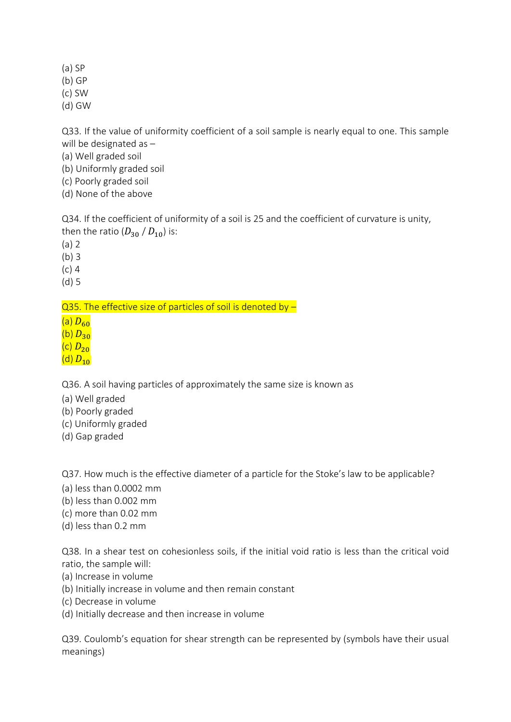(a) SP

(b) GP

(c) SW

(d) GW

Q33. If the value of uniformity coefficient of a soil sample is nearly equal to one. This sample will be designated as –

(a) Well graded soil

(b) Uniformly graded soil

(c) Poorly graded soil

(d) None of the above

Q34. If the coefficient of uniformity of a soil is 25 and the coefficient of curvature is unity, then the ratio  $(D_{30} / D_{10})$  is:

(a) 2

(b) 3

(c) 4

(d) 5

 $Q35$ . The effective size of particles of soil is denoted by  $-$ 

(a)  $D_{60}$ 

(b)  $D_{30}$ 

(c)  $D_{20}$ 

 $(d) D_{10}$ 

Q36. A soil having particles of approximately the same size is known as

(a) Well graded

(b) Poorly graded

(c) Uniformly graded

(d) Gap graded

Q37. How much is the effective diameter of a particle for the Stoke's law to be applicable?

(a) less than 0.0002 mm

(b) less than 0.002 mm

(c) more than 0.02 mm

(d) less than 0.2 mm

Q38. In a shear test on cohesionless soils, if the initial void ratio is less than the critical void ratio, the sample will:

- (a) Increase in volume
- (b) Initially increase in volume and then remain constant
- (c) Decrease in volume
- (d) Initially decrease and then increase in volume

Q39. Coulomb's equation for shear strength can be represented by (symbols have their usual meanings)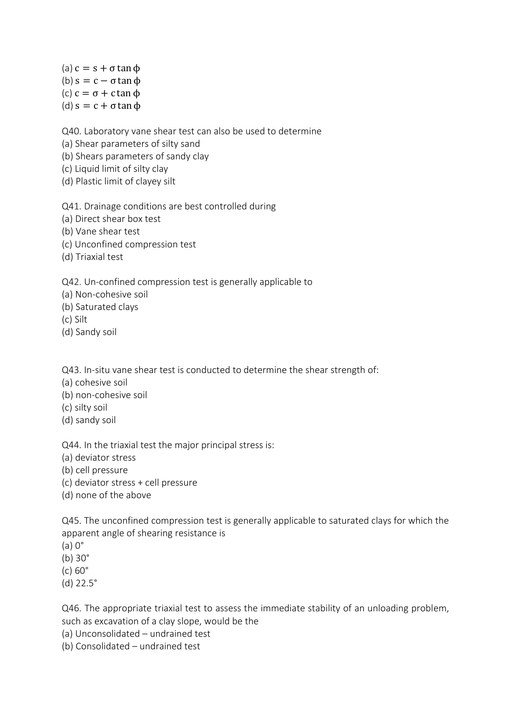(a)  $c = s + \sigma \tan \phi$ (b)  $s = c - \sigma \tan \phi$ (c)  $c = \sigma + c \tan \phi$ (d)  $s = c + \sigma \tan \phi$ 

Q40. Laboratory vane shear test can also be used to determine

(a) Shear parameters of silty sand

(b) Shears parameters of sandy clay

(c) Liquid limit of silty clay

(d) Plastic limit of clayey silt

Q41. Drainage conditions are best controlled during

(a) Direct shear box test

(b) Vane shear test

(c) Unconfined compression test

(d) Triaxial test

Q42. Un-confined compression test is generally applicable to

(a) Non-cohesive soil

(b) Saturated clays

(c) Silt

(d) Sandy soil

Q43. In-situ vane shear test is conducted to determine the shear strength of:

- (a) cohesive soil
- (b) non-cohesive soil
- (c) silty soil
- (d) sandy soil

Q44. In the triaxial test the major principal stress is:

- (a) deviator stress
- (b) cell pressure
- (c) deviator stress + cell pressure
- (d) none of the above

Q45. The unconfined compression test is generally applicable to saturated clays for which the apparent angle of shearing resistance is

- (a) 0°
- (b) 30°
- $(c)$  60 $\degree$
- (d) 22.5°

Q46. The appropriate triaxial test to assess the immediate stability of an unloading problem, such as excavation of a clay slope, would be the

(a) Unconsolidated – undrained test

(b) Consolidated – undrained test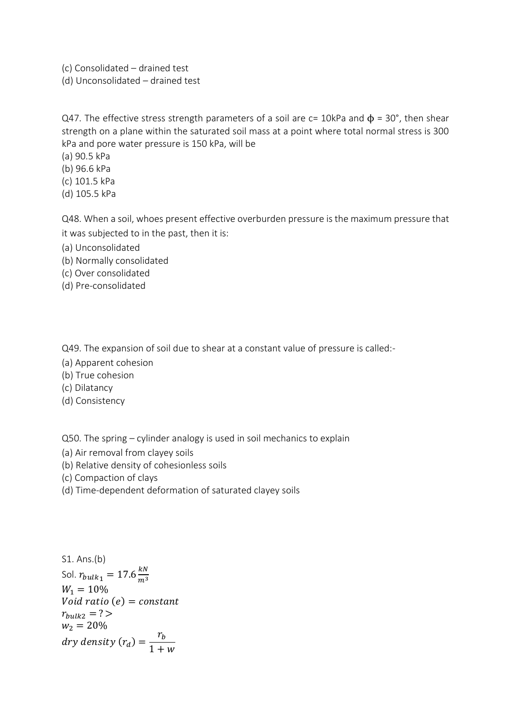- (c) Consolidated drained test
- (d) Unconsolidated drained test

Q47. The effective stress strength parameters of a soil are  $c=10$ kPa and  $\phi = 30^{\circ}$ , then shear strength on a plane within the saturated soil mass at a point where total normal stress is 300 kPa and pore water pressure is 150 kPa, will be

(a) 90.5 kPa

(b) 96.6 kPa

- (c) 101.5 kPa
- (d) 105.5 kPa

Q48. When a soil, whoes present effective overburden pressure is the maximum pressure that it was subjected to in the past, then it is:

- (a) Unconsolidated
- (b) Normally consolidated
- (c) Over consolidated
- (d) Pre-consolidated

Q49. The expansion of soil due to shear at a constant value of pressure is called:-

- (a) Apparent cohesion
- (b) True cohesion
- (c) Dilatancy
- (d) Consistency

Q50. The spring – cylinder analogy is used in soil mechanics to explain

- (a) Air removal from clayey soils
- (b) Relative density of cohesionless soils
- (c) Compaction of clays
- (d) Time-dependent deformation of saturated clayey soils

S1. Ans.(b) Sol.  $r_{bulk_1} = 17.6 \frac{kN}{m^3}$  $m<sup>3</sup>$  $W_1 = 10\%$  $\textit{Void ratio}$  (e) = constant  $r_{bulk2}$  = ? >  $w_2 = 20\%$  $\frac{r}{\text{dry density}}(r_d) = \frac{r_b}{1+r_b}$  $1 + w$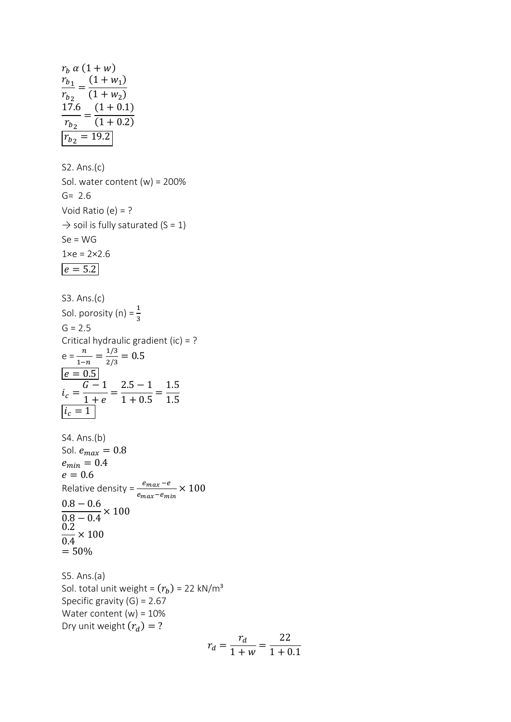| $r_b \alpha (1 + w)$<br>$\frac{r_{b_1}}{r_{b_2}} = \frac{(1+w_1)}{(1+w_2)}$<br>$\frac{17.6}{r_{b_2}} = \frac{(1+0.1)}{(1+0.2)}$<br>$r_{b_2} = 19.2$                                                                                                          |
|--------------------------------------------------------------------------------------------------------------------------------------------------------------------------------------------------------------------------------------------------------------|
| S2. Ans.(c)<br>Sol. water content $(w) = 200\%$<br>$G = 2.6$<br>Void Ratio (e) = ?<br>$\rightarrow$ soil is fully saturated (S = 1)<br>$Se = WG$<br>$1xe = 2 \times 2.6$<br>$e = 5.\overline{2}$                                                             |
| S3. Ans.(c)<br>Sol. porosity (n) = $\frac{1}{3}$<br>$G = 2.5$<br>Critical hydraulic gradient (ic) = ?<br>$e = \frac{n}{1-n} = \frac{1/3}{2/3} = 0.5$<br>$\frac{e = 0.5}{i_c = \frac{G - 1}{1 + e}} = \frac{2.5 - 1}{1 + 0.5} = \frac{1.5}{1.5}$<br>$i_c = 1$ |
| S4. Ans.(b)<br>Sol. $e_{max} = 0.8$<br>$e_{min} = 0.4$<br>$e = 0.6$<br>Relative density = $\frac{e_{max} - e}{e_{max} - e_{min}} \times 100$<br>$0.8 - 0.6$<br>$\frac{1}{0.8-0.4} \times 100$<br>$\frac{0.2}{0.4} \times 100$<br>$= 50%$                     |
| S5. Ans.(a)<br>Sol. total unit weight = $(r_b)$ = 22 kN/m <sup>3</sup><br>Specific gravity $(G) = 2.67$<br>Water content $(w) = 10\%$<br>Dry unit weight $(r_d) = ?$                                                                                         |

$$
r_d = \frac{r_d}{1+w} = \frac{22}{1+0.1}
$$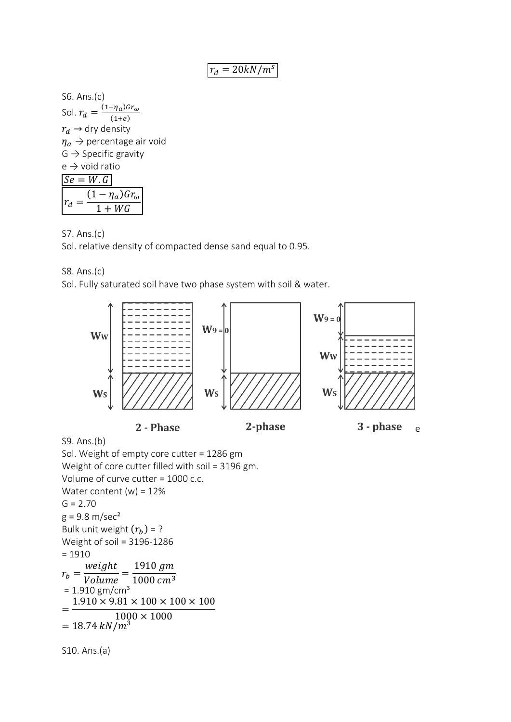```
r_d = 20kN/m^s
```
S6. Ans.(c) Sol.  $r_d = \frac{(1-\eta_a)Gr_{\omega_a}}{(1+\epsilon_a)}$  $(1+e)$  $r_d \rightarrow$  dry density  $\eta_a \rightarrow$  percentage air void  $G \rightarrow$  Specific gravity  $e \rightarrow$  void ratio  $Se = W.G$  $r_d =$  $(1 - \eta_a) G r_\omega$  $1 + WG$ 

S7. Ans.(c)

Sol. relative density of compacted dense sand equal to 0.95.

S8. Ans.(c)

Sol. Fully saturated soil have two phase system with soil & water.



S9. Ans.(b)

Sol. Weight of empty core cutter = 1286 gm Weight of core cutter filled with soil = 3196 gm. Volume of curve cutter = 1000 c.c. Water content  $(w) = 12\%$  $G = 2.70$  $g = 9.8 \text{ m/sec}^2$ Bulk unit weight  $(r_b)$  = ? Weight of soil = 3196-1286  $= 1910$  $r_b =$ weight  $\frac{1}{Volume} =$ 1910 gm  $1000 \, cm^3$  $= 1.910$  gm/cm<sup>3</sup> =  $1.910\times9.81\times100\times100\times100$  $1000 \times 1000$  $= 18.74 \ kN/m^3$ S10. Ans.(a)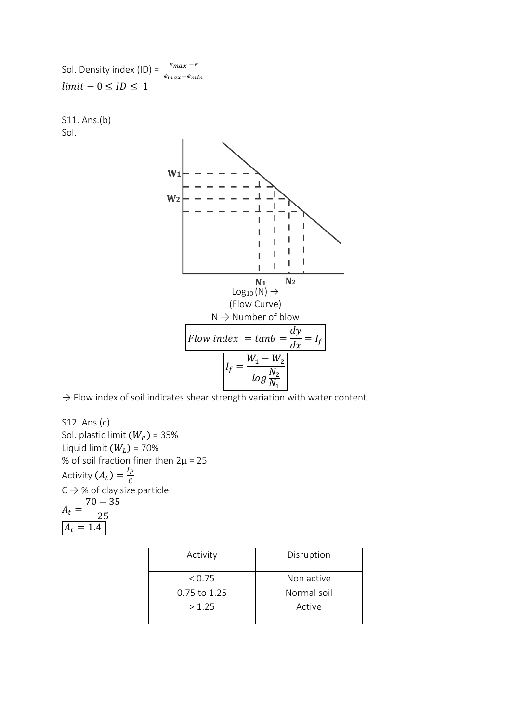Sol. Density index (ID) =  $\frac{e_{max} - e}{e_{max} - e_{min}}$  $limit - 0 \leq ID \leq 1$ 

S11. Ans.(b) Sol.



 $\rightarrow$  Flow index of soil indicates shear strength variation with water content.

S12. Ans.(c) Sol. plastic limit  $(W_P)$  = 35% Liquid limit  $(W_L)$  = 70% % of soil fraction finer then  $2\mu = 25$ Activity  $(A_t) = \frac{I_P}{C}$  $\mathcal C$  $C \rightarrow \%$  of clay size particle  $A_t =$ 70 − 35 25  $A_t = 1.4$ 

| Activity       | Disruption  |
|----------------|-------------|
| < 0.75         | Non active  |
| $0.75$ to 1.25 | Normal soil |
| >1.25          | Active      |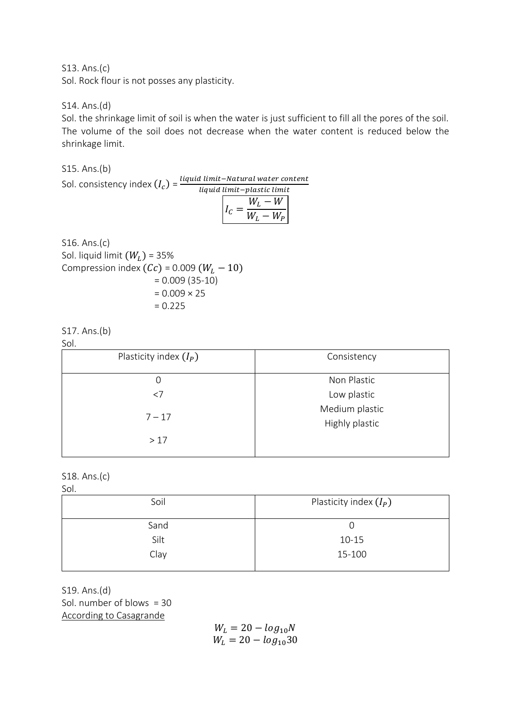S13. Ans.(c)

Sol. Rock flour is not posses any plasticity.

S14. Ans.(d)

Sol. the shrinkage limit of soil is when the water is just sufficient to fill all the pores of the soil. The volume of the soil does not decrease when the water content is reduced below the shrinkage limit.

S15. Ans.(b)

Sol. consistency index  $(I_c) = \frac{liquid \ limit - Natural \ water \ content}{liquid \ limit - plastic \ limit}$ liquid limit-plastic limit

|  | .u iimii – piustit iimii | W      | $\overline{\phantom{a}}$ | M |
|--|--------------------------|--------|--------------------------|---|
|  | W                        | $\sim$ | $W_P$                    |   |

S16. Ans.(c) Sol. liquid limit  $(W_L)$  = 35% Compression index  $(Cc)$  = 0.009  $(W<sub>L</sub> - 10)$  $= 0.009 (35-10)$  $= 0.009 \times 25$  $= 0.225$ 

S17. Ans.(b)

| Sol.                     |                                  |
|--------------------------|----------------------------------|
| Plasticity index $(I_P)$ | Consistency                      |
|                          | Non Plastic                      |
| $<$ 7                    | Low plastic                      |
| $7 - 17$<br>>17          | Medium plastic<br>Highly plastic |
|                          |                                  |

## S18. Ans.(c)

Sol.

| Soil | Plasticity index $(I_P)$ |
|------|--------------------------|
| Sand |                          |
| Silt | $10 - 15$                |
| Clay | 15-100                   |

S19. Ans.(d) Sol. number of blows = 30 According to Casagrande

> $W_L = 20 - log_{10}N$  $W_L = 20 - log_{10} 30$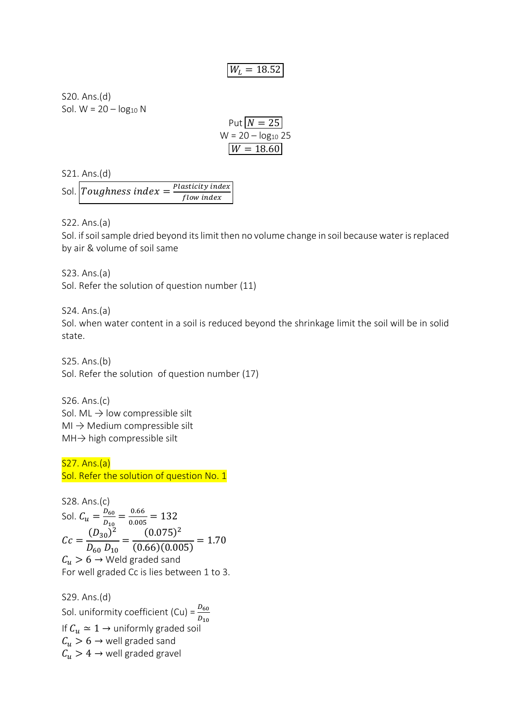$$
W_L=18.52
$$

S20. Ans.(d) Sol.  $W = 20 - log_{10} N$ 

Put 
$$
\overline{N = 25}
$$
  
W = 20 - log<sub>10</sub> 25  
 $\overline{W} = 18.60$ 

S21. Ans.(d)

Sol. Toughness index  $=\frac{Plasticity\ index}{flow\ index}$ flow index

S22. Ans.(a)

Sol. if soil sample dried beyond its limit then no volume change in soil because water is replaced by air & volume of soil same

S23. Ans.(a)

Sol. Refer the solution of question number (11)

S24. Ans.(a)

Sol. when water content in a soil is reduced beyond the shrinkage limit the soil will be in solid state.

S25. Ans.(b) Sol. Refer the solution of question number (17)

S26. Ans.(c) Sol. ML  $\rightarrow$  low compressible silt  $MI \rightarrow Medium compressible$  silt MH→ high compressible silt

S27. Ans.(a) Sol. Refer the solution of question No. 1

S28. Ans.(c) Sol.  $C_u = \frac{D_{60}}{D_{10}}$  $\frac{D_{60}}{D_{10}} = \frac{0.66}{0.005}$  $\frac{0.00}{0.005} = 132$  $Cc = \frac{(D_{30})^2}{R_{30}}$  $D_{60} D_{10}$ =  $(0.075)^2$  $\frac{(0.66)(0.005)}{(0.66)(0.005)} = 1.70$  $C_u > 6 \rightarrow$  Weld graded sand For well graded Cc is lies between 1 to 3.

S29. Ans.(d) Sol. uniformity coefficient (Cu) =  $\frac{D_{60}}{D_{10}}$ If  $C_u \simeq 1 \rightarrow$  uniformly graded soil  $C_u > 6 \rightarrow$  well graded sand  $C_u > 4 \rightarrow$  well graded gravel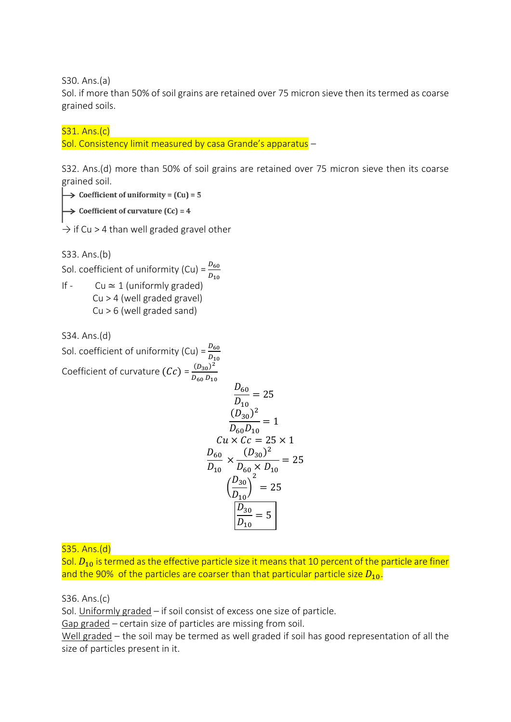S30. Ans.(a)

Sol. if more than 50% of soil grains are retained over 75 micron sieve then its termed as coarse grained soils.

## S31. Ans.(c)

Sol. Consistency limit measured by casa Grande's apparatus –

S32. Ans.(d) more than 50% of soil grains are retained over 75 micron sieve then its coarse grained soil.

 $\rightarrow$  Coefficient of uniformity = (Cu) = 5

 $\rightarrow$  Coefficient of curvature (Cc) = 4

 $\rightarrow$  if Cu > 4 than well graded gravel other

S33. Ans.(b)

Sol. coefficient of uniformity (Cu) =  $\frac{D_{60}}{D_{10}}$ 

If - Cu  $\simeq$  1 (uniformly graded) Cu > 4 (well graded gravel) Cu > 6 (well graded sand)

S34. Ans.(d)

Sol. coefficient of uniformity (Cu) =  $\frac{D_{60}}{D_{10}}$ Coefficient of curvature  $(Cc) = \frac{(D_{30})^2}{D_{30}}$  $D_{60} D_{10}$ 

$$
\frac{D_{60}}{D_{10}} = 25
$$
  
\n
$$
\frac{(D_{30})^2}{D_{60}D_{10}} = 1
$$
  
\n
$$
Cu \times Cc = 25 \times 1
$$
  
\n
$$
\frac{D_{60}}{D_{10}} \times \frac{(D_{30})^2}{D_{60} \times D_{10}} = 25
$$
  
\n
$$
\left(\frac{D_{30}}{D_{10}}\right)^2 = 25
$$
  
\n
$$
\frac{D_{30}}{D_{10}} = 5
$$

S35. Ans.(d)

Sol.  $D_{10}$  is termed as the effective particle size it means that 10 percent of the particle are finer and the 90% of the particles are coarser than that particular particle size  $D_{10}$ .

S36. Ans.(c)

Sol. Uniformly graded – if soil consist of excess one size of particle.

Gap graded – certain size of particles are missing from soil.

Well graded - the soil may be termed as well graded if soil has good representation of all the size of particles present in it.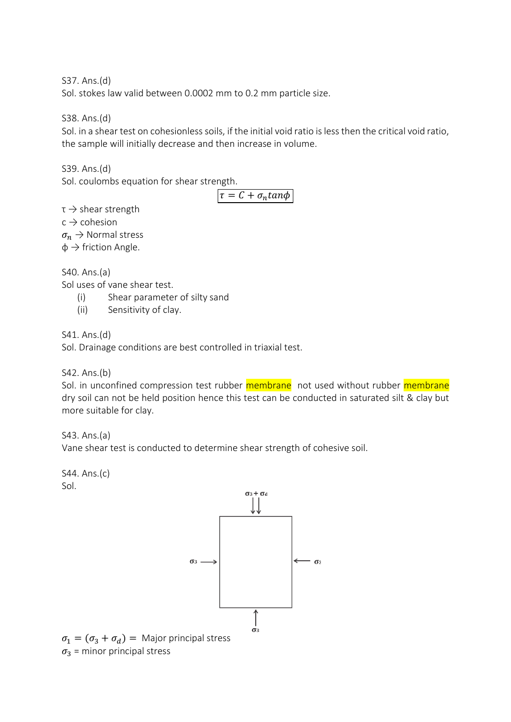S37. Ans.(d)

Sol. stokes law valid between 0.0002 mm to 0.2 mm particle size.

S38. Ans.(d)

Sol. in a shear test on cohesionless soils, if the initial void ratio is less then the critical void ratio, the sample will initially decrease and then increase in volume.

S39. Ans.(d)

Sol. coulombs equation for shear strength.

 $\tau = C + \sigma_n \tan \phi$ 

 $\tau \rightarrow$  shear strength  $c \rightarrow$  cohesion  $\sigma_n \rightarrow$  Normal stress  $\phi \rightarrow$  friction Angle.

S40. Ans.(a)

Sol uses of vane shear test.

- (i) Shear parameter of silty sand
- (ii) Sensitivity of clay.

S41. Ans.(d)

Sol. Drainage conditions are best controlled in triaxial test.

S42. Ans.(b)

Sol. in unconfined compression test rubber membrane not used without rubber membrane dry soil can not be held position hence this test can be conducted in saturated silt & clay but more suitable for clay.

S43. Ans.(a)

Vane shear test is conducted to determine shear strength of cohesive soil.

S44. Ans.(c) Sol.



 $\sigma_1 = (\sigma_3 + \sigma_d) =$  Major principal stress  $\sigma_3$  = minor principal stress